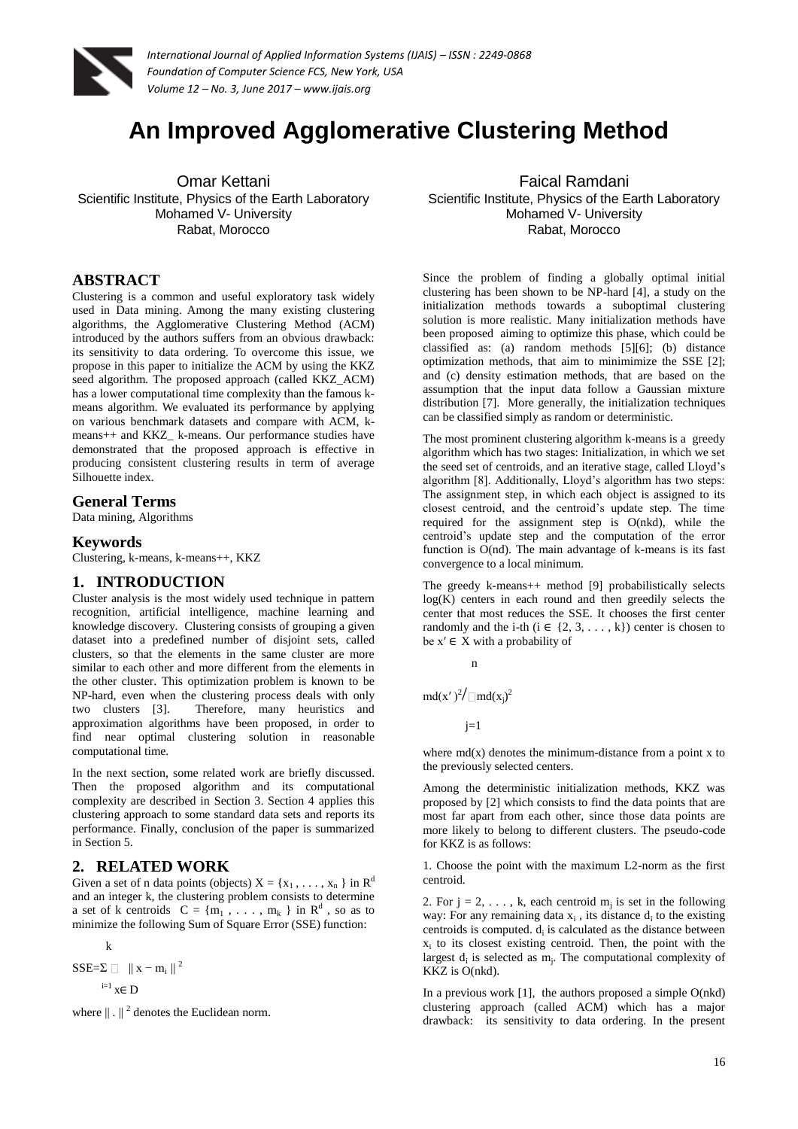

# **An Improved Agglomerative Clustering Method**

Omar Kettani Scientific Institute, Physics of the Earth Laboratory Mohamed V- University Rabat, Morocco

### **ABSTRACT**

Clustering is a common and useful exploratory task widely used in Data mining. Among the many existing clustering algorithms, the Agglomerative Clustering Method (ACM) introduced by the authors suffers from an obvious drawback: its sensitivity to data ordering. To overcome this issue, we propose in this paper to initialize the ACM by using the KKZ seed algorithm. The proposed approach (called KKZ\_ACM) has a lower computational time complexity than the famous kmeans algorithm. We evaluated its performance by applying on various benchmark datasets and compare with ACM, kmeans++ and KKZ\_ k-means. Our performance studies have demonstrated that the proposed approach is effective in producing consistent clustering results in term of average Silhouette index.

### **General Terms**

Data mining, Algorithms

#### **Keywords**

Clustering, k-means, k-means++, KKZ

### **1. INTRODUCTION**

Cluster analysis is the most widely used technique in pattern recognition, artificial intelligence, machine learning and knowledge discovery. Clustering consists of grouping a given dataset into a predefined number of disjoint sets, called clusters, so that the elements in the same cluster are more similar to each other and more different from the elements in the other cluster. This optimization problem is known to be NP-hard, even when the clustering process deals with only two clusters [3]. Therefore, many heuristics and approximation algorithms have been proposed, in order to find near optimal clustering solution in reasonable computational time.

In the next section, some related work are briefly discussed. Then the proposed algorithm and its computational complexity are described in Section 3. Section 4 applies this clustering approach to some standard data sets and reports its performance. Finally, conclusion of the paper is summarized in Section 5.

### **2. RELATED WORK**

Given a set of n data points (objects)  $X = \{x_1, \ldots, x_n\}$  in  $\mathbb{R}^d$ and an integer k, the clustering problem consists to determine a set of k centroids  $C = \{m_1, \ldots, m_k\}$  in  $\mathbb{R}^d$ , so as to minimize the following Sum of Square Error (SSE) function:

k

 $SSE=\sum$  || x − m<sub>i</sub> || <sup>2</sup>  $i=1$   $x \in D$ 

where  $\|\cdot\|^2$  denotes the Euclidean norm.

Faical Ramdani Scientific Institute, Physics of the Earth Laboratory Mohamed V- University Rabat, Morocco

Since the problem of finding a globally optimal initial clustering has been shown to be NP-hard [4], a study on the initialization methods towards a suboptimal clustering solution is more realistic. Many initialization methods have been proposed aiming to optimize this phase, which could be classified as: (a) random methods [5][6]; (b) distance optimization methods, that aim to minimimize the SSE [2]; and (c) density estimation methods, that are based on the assumption that the input data follow a Gaussian mixture distribution [7]. More generally, the initialization techniques can be classified simply as random or deterministic.

The most prominent clustering algorithm k-means is a greedy algorithm which has two stages: Initialization, in which we set the seed set of centroids, and an iterative stage, called Lloyd's algorithm [8]. Additionally, Lloyd's algorithm has two steps: The assignment step, in which each object is assigned to its closest centroid, and the centroid's update step. The time required for the assignment step is O(nkd), while the centroid's update step and the computation of the error function is  $O(nd)$ . The main advantage of k-means is its fast convergence to a local minimum.

The greedy k-means++ method [9] probabilistically selects log(K) centers in each round and then greedily selects the center that most reduces the SSE. It chooses the first center randomly and the i-th ( $i \in \{2, 3, \ldots, k\}$ ) center is chosen to be  $x' \in X$  with a probability of

$$
\mathbf{n}^{\mathbf{m}}
$$

 $md(x')^2/ \Box md(x_j)^2$ 

 $j=1$ 

where  $md(x)$  denotes the minimum-distance from a point x to the previously selected centers.

Among the deterministic initialization methods, KKZ was proposed by [2] which consists to find the data points that are most far apart from each other, since those data points are more likely to belong to different clusters. The pseudo-code for KKZ is as follows:

1. Choose the point with the maximum L2-norm as the first centroid.

2. For  $j = 2, \ldots, k$ , each centroid  $m_j$  is set in the following way: For any remaining data  $x_i$ , its distance  $d_i$  to the existing centroids is computed.  $d_i$  is calculated as the distance between xi to its closest existing centroid. Then, the point with the largest  $d_i$  is selected as  $m_i$ . The computational complexity of KKZ is O(nkd).

In a previous work  $[1]$ , the authors proposed a simple  $O(nkd)$ clustering approach (called ACM) which has a major drawback: its sensitivity to data ordering. In the present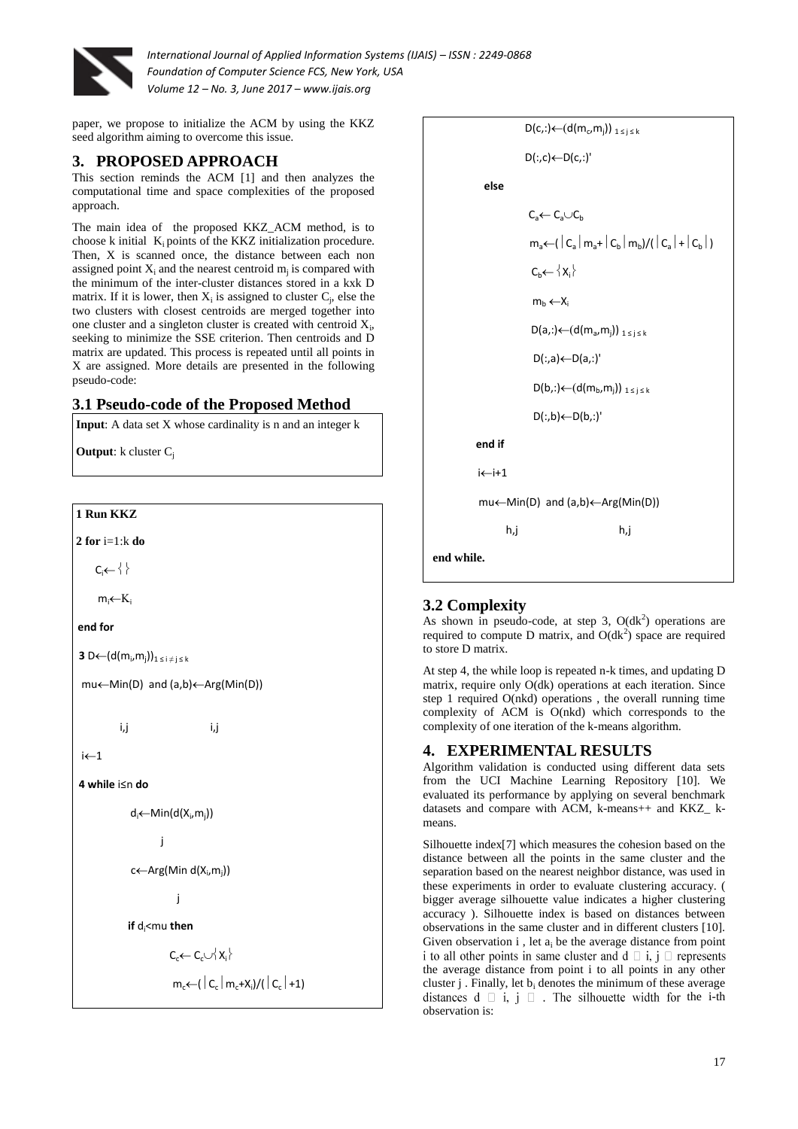

paper, we propose to initialize the ACM by using the KKZ seed algorithm aiming to overcome this issue.

## **3. PROPOSED APPROACH**

This section reminds the ACM [1] and then analyzes the computational time and space complexities of the proposed approach.

The main idea of the proposed KKZ\_ACM method, is to choose k initial  $K_i$  points of the KKZ initialization procedure. Then, X is scanned once, the distance between each non assigned point  $X_i$  and the nearest centroid  $m_j$  is compared with the minimum of the inter-cluster distances stored in a kxk D matrix. If it is lower, then  $X_i$  is assigned to cluster  $C_i$ , else the two clusters with closest centroids are merged together into one cluster and a singleton cluster is created with centroid  $X_i$ , seeking to minimize the SSE criterion. Then centroids and D matrix are updated. This process is repeated until all points in X are assigned. More details are presented in the following pseudo-code:

# **3.1 Pseudo-code of the Proposed Method**

**Input**: A data set X whose cardinality is n and an integer k

**Output**: k cluster C<sub>i</sub>





# **3.2 Complexity**

As shown in pseudo-code, at step 3,  $O(dk^2)$  operations are required to compute D matrix, and  $O(dk^2)$  space are required to store D matrix.

At step 4, the while loop is repeated n-k times, and updating D matrix, require only O(dk) operations at each iteration. Since step 1 required O(nkd) operations , the overall running time complexity of ACM is O(nkd) which corresponds to the complexity of one iteration of the k-means algorithm.

### **4. EXPERIMENTAL RESULTS**

Algorithm validation is conducted using different data sets from the UCI Machine Learning Repository [10]. We evaluated its performance by applying on several benchmark datasets and compare with ACM, k-means++ and KKZ\_ kmeans.

Silhouette index[7] which measures the cohesion based on the distance between all the points in the same cluster and the separation based on the nearest neighbor distance, was used in these experiments in order to evaluate clustering accuracy. ( bigger average silhouette value indicates a higher clustering accuracy ). Silhouette index is based on distances between observations in the same cluster and in different clusters [10]. Given observation i , let  $a_i$  be the average distance from point i to all other points in same cluster and  $d \square i, j \square$  represents the average distance from point i to all points in any other cluster  $j$ . Finally, let  $b_i$  denotes the minimum of these average distances  $d \square i, j \square$ . The silhouette width for the i-th observation is: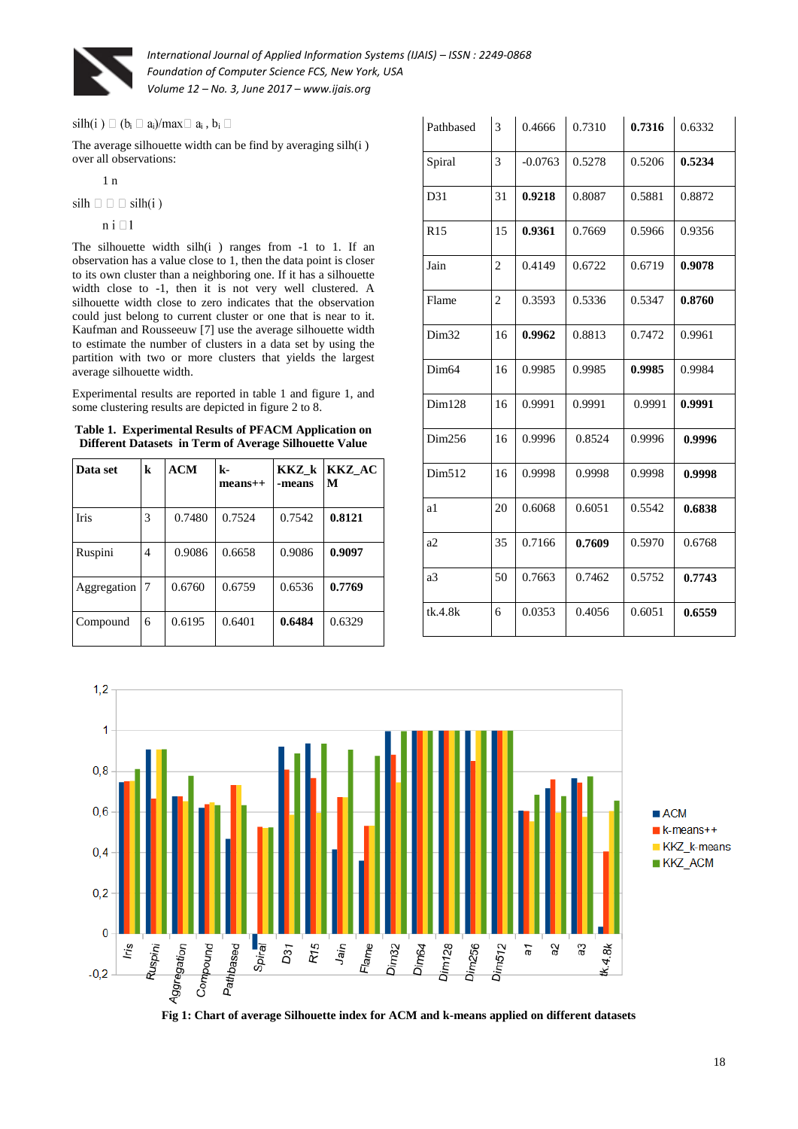

 $a_i \square a_i$ )/max $\square a_i$  ,  $b_i$ 

The average silhouette width can be find by averaging silh(i ) over all observations:

1 n

 $silh \Box \Box \Box$  silh(i)

 $n i \square 1$ 

The silhouette width  $silh(i)$  ranges from  $-1$  to 1. If an observation has a value close to 1, then the data point is closer to its own cluster than a neighboring one. If it has a silhouette width close to -1, then it is not very well clustered. A silhouette width close to zero indicates that the observation could just belong to current cluster or one that is near to it. Kaufman and Rousseeuw [7] use the average silhouette width to estimate the number of clusters in a data set by using the partition with two or more clusters that yields the largest average silhouette width.

Experimental results are reported in table 1 and figure 1, and some clustering results are depicted in figure 2 to 8.

**Table 1. Experimental Results of PFACM Application on Different Datasets in Term of Average Silhouette Value**

| Data set    | k  | ACM    | $\mathbf{k}$ -<br>$mean5+$ | KKZ k<br>-means | KKZ AC<br>M |
|-------------|----|--------|----------------------------|-----------------|-------------|
| Iris        | 3  | 0.7480 | 0.7524                     | 0.7542          | 0.8121      |
| Ruspini     | 4  | 0.9086 | 0.6658                     | 0.9086          | 0.9097      |
| Aggregation | -7 | 0.6760 | 0.6759                     | 0.6536          | 0.7769      |
| Compound    | 6  | 0.6195 | 0.6401                     | 0.6484          | 0.6329      |

| Pathbased         | 3              | 0.4666    | 0.7310 | 0.7316 | 0.6332 |
|-------------------|----------------|-----------|--------|--------|--------|
| Spiral            | 3              | $-0.0763$ | 0.5278 | 0.5206 | 0.5234 |
| D31               | 31             | 0.9218    | 0.8087 | 0.5881 | 0.8872 |
| R <sub>15</sub>   | 15             | 0.9361    | 0.7669 | 0.5966 | 0.9356 |
| Jain              | $\overline{c}$ | 0.4149    | 0.6722 | 0.6719 | 0.9078 |
| Flame             | $\mathfrak{2}$ | 0.3593    | 0.5336 | 0.5347 | 0.8760 |
| Dim <sub>32</sub> | 16             | 0.9962    | 0.8813 | 0.7472 | 0.9961 |
| Dim <sub>64</sub> | 16             | 0.9985    | 0.9985 | 0.9985 | 0.9984 |
| Dim128            | 16             | 0.9991    | 0.9991 | 0.9991 | 0.9991 |
| Dim256            | 16             | 0.9996    | 0.8524 | 0.9996 | 0.9996 |
| Dim512            | 16             | 0.9998    | 0.9998 | 0.9998 | 0.9998 |
| a1                | 20             | 0.6068    | 0.6051 | 0.5542 | 0.6838 |
| a2                | 35             | 0.7166    | 0.7609 | 0.5970 | 0.6768 |
| a <sub>3</sub>    | 50             | 0.7663    | 0.7462 | 0.5752 | 0.7743 |
| tk.4.8k           | 6              | 0.0353    | 0.4056 | 0.6051 | 0.6559 |



**Fig 1: Chart of average Silhouette index for ACM and k-means applied on different datasets**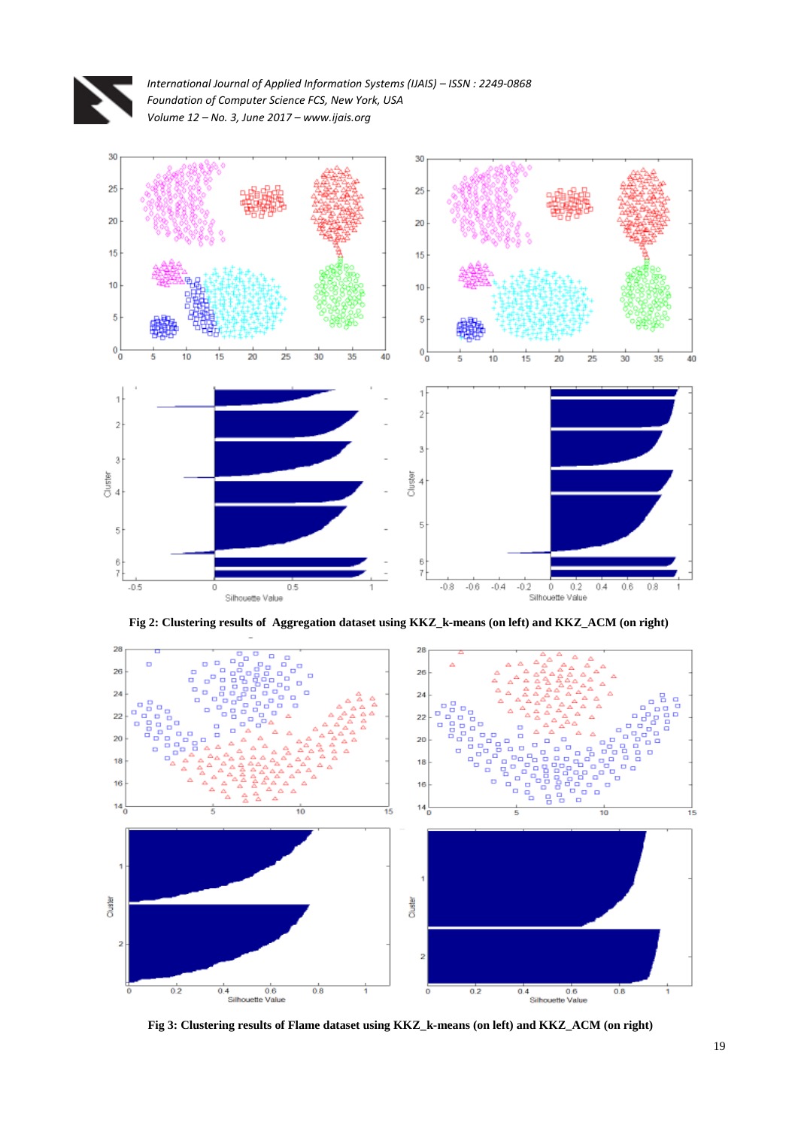



**Fig 2: Clustering results of Aggregation dataset using KKZ\_k-means (on left) and KKZ\_ACM (on right)** 



**Fig 3: Clustering results of Flame dataset using KKZ\_k-means (on left) and KKZ\_ACM (on right)**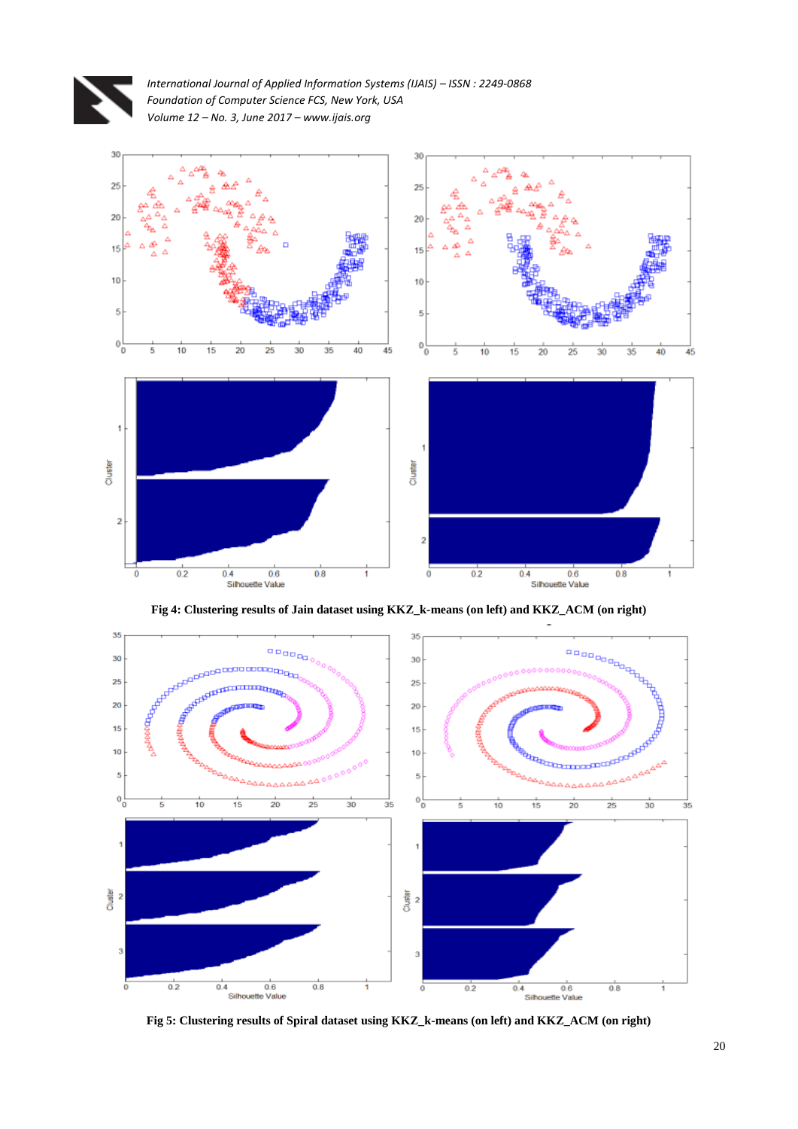



**Fig 4: Clustering results of Jain dataset using KKZ\_k-means (on left) and KKZ\_ACM (on right)**



**Fig 5: Clustering results of Spiral dataset using KKZ\_k-means (on left) and KKZ\_ACM (on right)**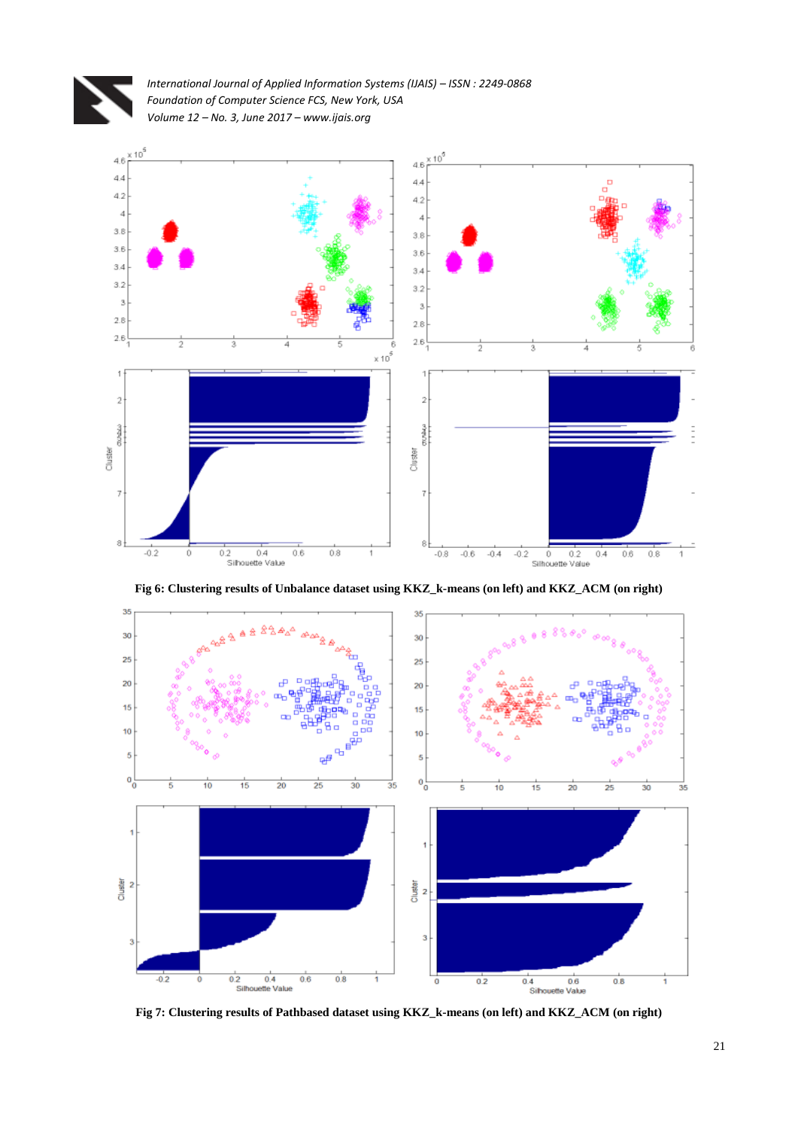



**Fig 6: Clustering results of Unbalance dataset using KKZ\_k-means (on left) and KKZ\_ACM (on right)**



**Fig 7: Clustering results of Pathbased dataset using KKZ\_k-means (on left) and KKZ\_ACM (on right)**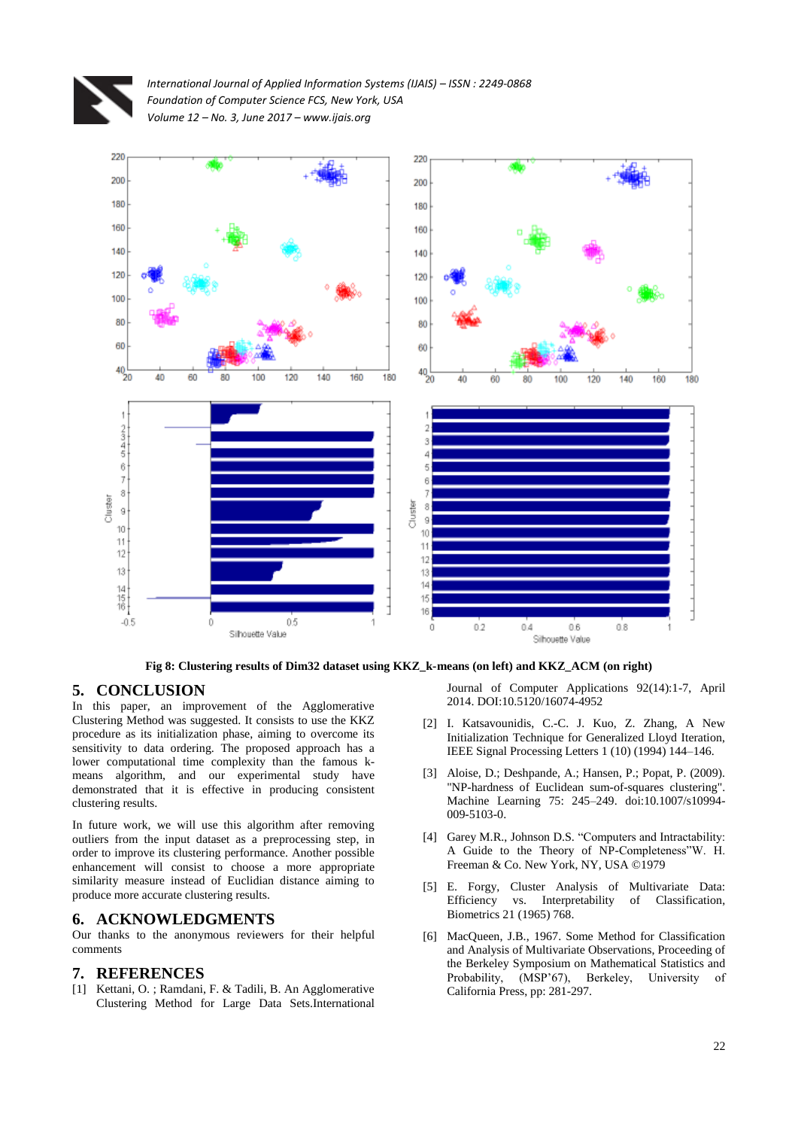



**Fig 8: Clustering results of Dim32 dataset using KKZ\_k-means (on left) and KKZ\_ACM (on right)**

### **5. CONCLUSION**

In this paper, an improvement of the Agglomerative Clustering Method was suggested. It consists to use the KKZ procedure as its initialization phase, aiming to overcome its sensitivity to data ordering. The proposed approach has a lower computational time complexity than the famous kmeans algorithm, and our experimental study have demonstrated that it is effective in producing consistent clustering results.

In future work, we will use this algorithm after removing outliers from the input dataset as a preprocessing step, in order to improve its clustering performance. Another possible enhancement will consist to choose a more appropriate similarity measure instead of Euclidian distance aiming to produce more accurate clustering results.

#### **6. ACKNOWLEDGMENTS**

Our thanks to the anonymous reviewers for their helpful comments

#### **7. REFERENCES**

[1] Kettani, O. ; Ramdani, F. & Tadili, B. An Agglomerative Clustering Method for Large Data Sets.International Journal of Computer Applications 92(14):1-7, April 2014. DOI:10.5120/16074-4952

- [2] I. Katsavounidis, C.-C. J. Kuo, Z. Zhang, A New Initialization Technique for Generalized Lloyd Iteration, IEEE Signal Processing Letters 1 (10) (1994) 144–146.
- [3] Aloise, D.; Deshpande, A.; Hansen, P.; Popat, P. (2009). "NP-hardness of Euclidean sum-of-squares clustering". Machine Learning 75: 245–249. doi:10.1007/s10994- 009-5103-0.
- [4] Garey M.R., Johnson D.S. "Computers and Intractability: A Guide to the Theory of NP-Completeness"W. H. Freeman & Co. New York, NY, USA ©1979
- [5] E. Forgy, Cluster Analysis of Multivariate Data: Efficiency vs. Interpretability of Classification, Biometrics 21 (1965) 768.
- [6] MacQueen, J.B., 1967. Some Method for Classification and Analysis of Multivariate Observations, Proceeding of the Berkeley Symposium on Mathematical Statistics and Probability, (MSP'67), Berkeley, University of California Press, pp: 281-297.